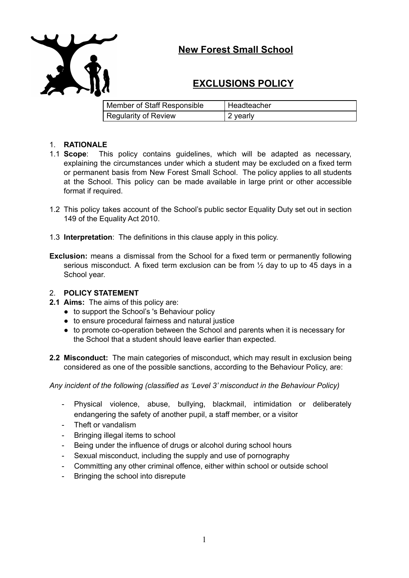

## **New Forest Small School**

# **EXCLUSIONS POLICY**

| Member of Staff Responsible | I Headteacher |
|-----------------------------|---------------|
| <b>Regularity of Review</b> | 2 yearly      |

## 1. **RATIONALE**

- 1.1 **Scope**: This policy contains guidelines, which will be adapted as necessary, explaining the circumstances under which a student may be excluded on a fixed term or permanent basis from New Forest Small School. The policy applies to all students at the School. This policy can be made available in large print or other accessible format if required.
- 1.2 This policy takes account of the School's public sector Equality Duty set out in section 149 of the Equality Act 2010.
- 1.3 **Interpretation**: The definitions in this clause apply in this policy.
- **Exclusion:** means a dismissal from the School for a fixed term or permanently following serious misconduct. A fixed term exclusion can be from  $\frac{1}{2}$  day to up to 45 days in a School year.

## 2. **POLICY STATEMENT**

- **2.1 Aims:** The aims of this policy are:
	- to support the School's 's Behaviour policy
	- to ensure procedural fairness and natural justice
	- to promote co-operation between the School and parents when it is necessary for the School that a student should leave earlier than expected.
- **2.2 Misconduct:** The main categories of misconduct, which may result in exclusion being considered as one of the possible sanctions, according to the Behaviour Policy, are:

*Any incident of the following (classified as 'Level 3' misconduct in the Behaviour Policy)*

- Physical violence, abuse, bullying, blackmail, intimidation or deliberately endangering the safety of another pupil, a staff member, or a visitor
- Theft or vandalism
- Bringing illegal items to school
- Being under the influence of drugs or alcohol during school hours
- Sexual misconduct, including the supply and use of pornography
- Committing any other criminal offence, either within school or outside school
- Bringing the school into disrepute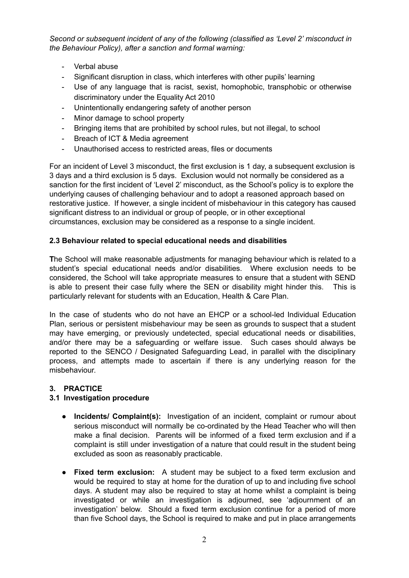*Second or subsequent incident of any of the following (classified as 'Level 2' misconduct in the Behaviour Policy), after a sanction and formal warning:*

- Verbal abuse
- Significant disruption in class, which interferes with other pupils' learning
- Use of any language that is racist, sexist, homophobic, transphobic or otherwise discriminatory under the Equality Act 2010
- Unintentionally endangering safety of another person
- Minor damage to school property
- Bringing items that are prohibited by school rules, but not illegal, to school
- Breach of ICT & Media agreement
- Unauthorised access to restricted areas, files or documents

For an incident of Level 3 misconduct, the first exclusion is 1 day, a subsequent exclusion is 3 days and a third exclusion is 5 days. Exclusion would not normally be considered as a sanction for the first incident of 'Level 2' misconduct, as the School's policy is to explore the underlying causes of challenging behaviour and to adopt a reasoned approach based on restorative justice. If however, a single incident of misbehaviour in this category has caused significant distress to an individual or group of people, or in other exceptional circumstances, exclusion may be considered as a response to a single incident.

## **2.3 Behaviour related to special educational needs and disabilities**

**T**he School will make reasonable adjustments for managing behaviour which is related to a student's special educational needs and/or disabilities. Where exclusion needs to be considered, the School will take appropriate measures to ensure that a student with SEND is able to present their case fully where the SEN or disability might hinder this. This is particularly relevant for students with an Education, Health & Care Plan.

In the case of students who do not have an EHCP or a school-led Individual Education Plan, serious or persistent misbehaviour may be seen as grounds to suspect that a student may have emerging, or previously undetected, special educational needs or disabilities, and/or there may be a safeguarding or welfare issue. Such cases should always be reported to the SENCO / Designated Safeguarding Lead, in parallel with the disciplinary process, and attempts made to ascertain if there is any underlying reason for the misbehaviour.

## **3. PRACTICE**

## **3.1 Investigation procedure**

- **Incidents/ Complaint(s):** Investigation of an incident, complaint or rumour about serious misconduct will normally be co-ordinated by the Head Teacher who will then make a final decision. Parents will be informed of a fixed term exclusion and if a complaint is still under investigation of a nature that could result in the student being excluded as soon as reasonably practicable.
- **Fixed term exclusion:** A student may be subject to a fixed term exclusion and would be required to stay at home for the duration of up to and including five school days. A student may also be required to stay at home whilst a complaint is being investigated or while an investigation is adjourned, see 'adjournment of an investigation' below. Should a fixed term exclusion continue for a period of more than five School days, the School is required to make and put in place arrangements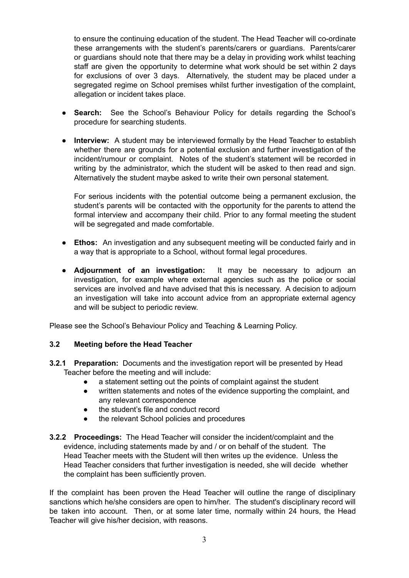to ensure the continuing education of the student. The Head Teacher will co-ordinate these arrangements with the student's parents/carers or guardians. Parents/carer or guardians should note that there may be a delay in providing work whilst teaching staff are given the opportunity to determine what work should be set within 2 days for exclusions of over 3 days. Alternatively, the student may be placed under a segregated regime on School premises whilst further investigation of the complaint, allegation or incident takes place.

- **Search:** See the School's Behaviour Policy for details regarding the School's procedure for searching students.
- **Interview:** A student may be interviewed formally by the Head Teacher to establish whether there are grounds for a potential exclusion and further investigation of the incident/rumour or complaint. Notes of the student's statement will be recorded in writing by the administrator, which the student will be asked to then read and sign. Alternatively the student maybe asked to write their own personal statement.

For serious incidents with the potential outcome being a permanent exclusion, the student's parents will be contacted with the opportunity for the parents to attend the formal interview and accompany their child. Prior to any formal meeting the student will be segregated and made comfortable.

- **Ethos:** An investigation and any subsequent meeting will be conducted fairly and in a way that is appropriate to a School, without formal legal procedures.
- **Adjournment of an investigation:** It may be necessary to adjourn an investigation, for example where external agencies such as the police or social services are involved and have advised that this is necessary. A decision to adjourn an investigation will take into account advice from an appropriate external agency and will be subject to periodic review.

Please see the School's Behaviour Policy and Teaching & Learning Policy.

#### **3.2 Meeting before the Head Teacher**

- **3.2.1 Preparation:** Documents and the investigation report will be presented by Head Teacher before the meeting and will include:
	- a statement setting out the points of complaint against the student
	- written statements and notes of the evidence supporting the complaint, and any relevant correspondence
	- the student's file and conduct record
	- the relevant School policies and procedures
- **3.2.2 Proceedings:** The Head Teacher will consider the incident/complaint and the evidence, including statements made by and / or on behalf of the student. The Head Teacher meets with the Student will then writes up the evidence. Unless the Head Teacher considers that further investigation is needed, she will decide whether the complaint has been sufficiently proven.

If the complaint has been proven the Head Teacher will outline the range of disciplinary sanctions which he/she considers are open to him/her. The student's disciplinary record will be taken into account. Then, or at some later time, normally within 24 hours, the Head Teacher will give his/her decision, with reasons.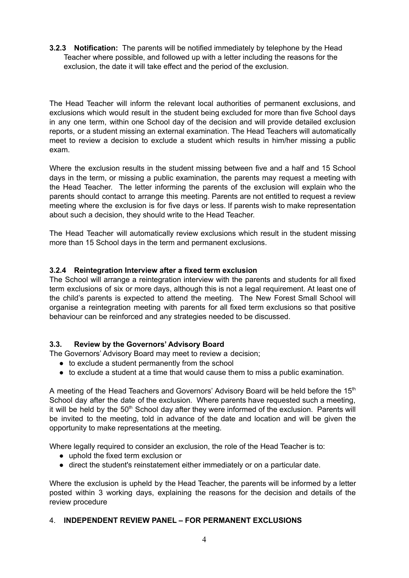**3.2.3 Notification:** The parents will be notified immediately by telephone by the Head Teacher where possible, and followed up with a letter including the reasons for the exclusion, the date it will take effect and the period of the exclusion.

The Head Teacher will inform the relevant local authorities of permanent exclusions, and exclusions which would result in the student being excluded for more than five School days in any one term, within one School day of the decision and will provide detailed exclusion reports, or a student missing an external examination. The Head Teachers will automatically meet to review a decision to exclude a student which results in him/her missing a public exam.

Where the exclusion results in the student missing between five and a half and 15 School days in the term, or missing a public examination, the parents may request a meeting with the Head Teacher. The letter informing the parents of the exclusion will explain who the parents should contact to arrange this meeting. Parents are not entitled to request a review meeting where the exclusion is for five days or less. If parents wish to make representation about such a decision, they should write to the Head Teacher.

The Head Teacher will automatically review exclusions which result in the student missing more than 15 School days in the term and permanent exclusions.

## **3.2.4 Reintegration Interview after a fixed term exclusion**

The School will arrange a reintegration interview with the parents and students for all fixed term exclusions of six or more days, although this is not a legal requirement. At least one of the child's parents is expected to attend the meeting. The New Forest Small School will organise a reintegration meeting with parents for all fixed term exclusions so that positive behaviour can be reinforced and any strategies needed to be discussed.

#### **3.3. Review by the Governors' Advisory Board**

The Governors' Advisory Board may meet to review a decision;

- to exclude a student permanently from the school
- $\bullet$  to exclude a student at a time that would cause them to miss a public examination.

A meeting of the Head Teachers and Governors' Advisory Board will be held before the 15<sup>th</sup> School day after the date of the exclusion. Where parents have requested such a meeting, it will be held by the  $50<sup>th</sup>$  School day after they were informed of the exclusion. Parents will be invited to the meeting, told in advance of the date and location and will be given the opportunity to make representations at the meeting.

Where legally required to consider an exclusion, the role of the Head Teacher is to:

- uphold the fixed term exclusion or
- direct the student's reinstatement either immediately or on a particular date.

Where the exclusion is upheld by the Head Teacher, the parents will be informed by a letter posted within 3 working days, explaining the reasons for the decision and details of the review procedure

#### 4. **INDEPENDENT REVIEW PANEL – FOR PERMANENT EXCLUSIONS**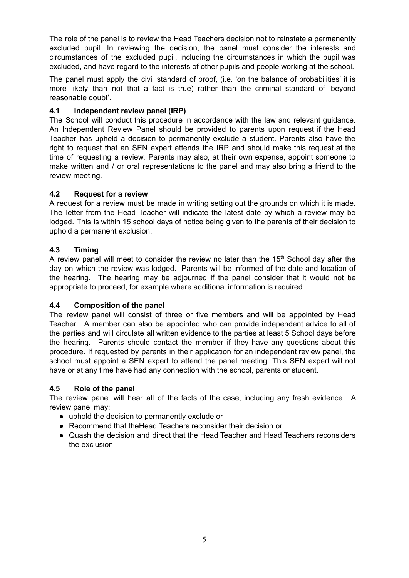The role of the panel is to review the Head Teachers decision not to reinstate a permanently excluded pupil. In reviewing the decision, the panel must consider the interests and circumstances of the excluded pupil, including the circumstances in which the pupil was excluded, and have regard to the interests of other pupils and people working at the school.

The panel must apply the civil standard of proof, (i.e. 'on the balance of probabilities' it is more likely than not that a fact is true) rather than the criminal standard of 'beyond reasonable doubt'.

## **4.1 Independent review panel (IRP)**

The School will conduct this procedure in accordance with the law and relevant guidance. An Independent Review Panel should be provided to parents upon request if the Head Teacher has upheld a decision to permanently exclude a student. Parents also have the right to request that an SEN expert attends the IRP and should make this request at the time of requesting a review. Parents may also, at their own expense, appoint someone to make written and / or oral representations to the panel and may also bring a friend to the review meeting.

### **4.2 Request for a review**

A request for a review must be made in writing setting out the grounds on which it is made. The letter from the Head Teacher will indicate the latest date by which a review may be lodged. This is within 15 school days of notice being given to the parents of their decision to uphold a permanent exclusion.

### **4.3 Timing**

A review panel will meet to consider the review no later than the  $15<sup>th</sup>$  School day after the day on which the review was lodged. Parents will be informed of the date and location of the hearing. The hearing may be adjourned if the panel consider that it would not be appropriate to proceed, for example where additional information is required.

#### **4.4 Composition of the panel**

The review panel will consist of three or five members and will be appointed by Head Teacher. A member can also be appointed who can provide independent advice to all of the parties and will circulate all written evidence to the parties at least 5 School days before the hearing. Parents should contact the member if they have any questions about this procedure. If requested by parents in their application for an independent review panel, the school must appoint a SEN expert to attend the panel meeting. This SEN expert will not have or at any time have had any connection with the school, parents or student.

#### **4.5 Role of the panel**

The review panel will hear all of the facts of the case, including any fresh evidence. A review panel may:

- uphold the decision to permanently exclude or
- Recommend that the Head Teachers reconsider their decision or
- Quash the decision and direct that the Head Teacher and Head Teachers reconsiders the exclusion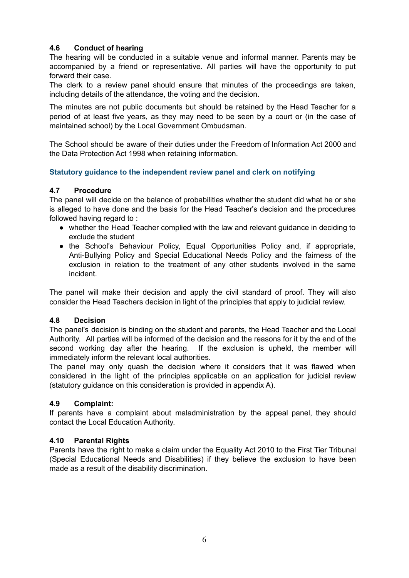## **4.6 Conduct of hearing**

The hearing will be conducted in a suitable venue and informal manner. Parents may be accompanied by a friend or representative. All parties will have the opportunity to put forward their case.

The clerk to a review panel should ensure that minutes of the proceedings are taken, including details of the attendance, the voting and the decision.

The minutes are not public documents but should be retained by the Head Teacher for a period of at least five years, as they may need to be seen by a court or (in the case of maintained school) by the Local Government Ombudsman.

The School should be aware of their duties under the Freedom of Information Act 2000 and the Data Protection Act 1998 when retaining information.

#### **Statutory guidance to the independent review panel and clerk on notifying**

#### **4.7 Procedure**

The panel will decide on the balance of probabilities whether the student did what he or she is alleged to have done and the basis for the Head Teacher's decision and the procedures followed having regard to :

- whether the Head Teacher complied with the law and relevant guidance in deciding to exclude the student
- the School's Behaviour Policy, Equal Opportunities Policy and, if appropriate, Anti-Bullying Policy and Special Educational Needs Policy and the fairness of the exclusion in relation to the treatment of any other students involved in the same incident.

The panel will make their decision and apply the civil standard of proof. They will also consider the Head Teachers decision in light of the principles that apply to judicial review.

#### **4.8 Decision**

The panel's decision is binding on the student and parents, the Head Teacher and the Local Authority. All parties will be informed of the decision and the reasons for it by the end of the second working day after the hearing. If the exclusion is upheld, the member will immediately inform the relevant local authorities.

The panel may only quash the decision where it considers that it was flawed when considered in the light of the principles applicable on an application for judicial review (statutory guidance on this consideration is provided in appendix A).

#### **4.9 Complaint:**

If parents have a complaint about maladministration by the appeal panel, they should contact the Local Education Authority.

#### **4.10 Parental Rights**

Parents have the right to make a claim under the Equality Act 2010 to the First Tier Tribunal (Special Educational Needs and Disabilities) if they believe the exclusion to have been made as a result of the disability discrimination.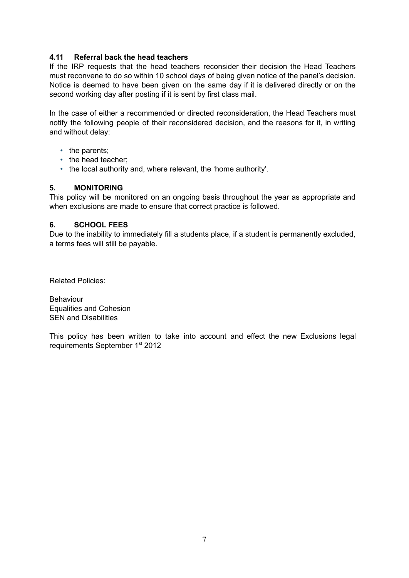#### **4.11 Referral back the head teachers**

If the IRP requests that the head teachers reconsider their decision the Head Teachers must reconvene to do so within 10 school days of being given notice of the panel's decision. Notice is deemed to have been given on the same day if it is delivered directly or on the second working day after posting if it is sent by first class mail.

In the case of either a recommended or directed reconsideration, the Head Teachers must notify the following people of their reconsidered decision, and the reasons for it, in writing and without delay:

- the parents:
- the head teacher:
- the local authority and, where relevant, the 'home authority'.

#### **5. MONITORING**

This policy will be monitored on an ongoing basis throughout the year as appropriate and when exclusions are made to ensure that correct practice is followed.

#### **6. SCHOOL FEES**

Due to the inability to immediately fill a students place, if a student is permanently excluded, a terms fees will still be payable.

Related Policies:

Behaviour Equalities and Cohesion SEN and Disabilities

This policy has been written to take into account and effect the new Exclusions legal requirements September 1<sup>st</sup> 2012